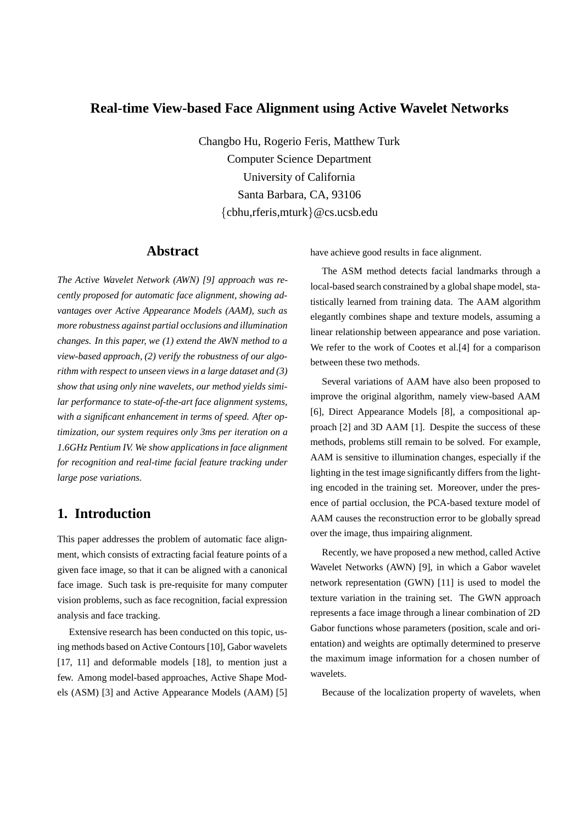### **Real-time View-based Face Alignment using Active Wavelet Networks**

Changbo Hu, Rogerio Feris, Matthew Turk Computer Science Department University of California Santa Barbara, CA, 93106 {cbhu,rferis,mturk}@cs.ucsb.edu

### **Abstract**

*The Active Wavelet Network (AWN) [9] approach was recently proposed for automatic face alignment, showing advantages over Active Appearance Models (AAM), such as more robustness against partial occlusions and illumination changes. In this paper, we (1) extend the AWN method to a view-based approach, (2) verify the robustness of our algorithm with respect to unseen views in a large dataset and (3) show that using only nine wavelets, our method yields similar performance to state-of-the-art face alignment systems, with a significant enhancement in terms of speed. After optimization, our system requires only 3ms per iteration on a 1.6GHz Pentium IV. We show applications in face alignment for recognition and real-time facial feature tracking under large pose variations.*

# **1. Introduction**

This paper addresses the problem of automatic face alignment, which consists of extracting facial feature points of a given face image, so that it can be aligned with a canonical face image. Such task is pre-requisite for many computer vision problems, such as face recognition, facial expression analysis and face tracking.

Extensive research has been conducted on this topic, using methods based on Active Contours [10], Gabor wavelets [17, 11] and deformable models [18], to mention just a few. Among model-based approaches, Active Shape Models (ASM) [3] and Active Appearance Models (AAM) [5] have achieve good results in face alignment.

The ASM method detects facial landmarks through a local-based search constrained by a global shape model, statistically learned from training data. The AAM algorithm elegantly combines shape and texture models, assuming a linear relationship between appearance and pose variation. We refer to the work of Cootes et al.[4] for a comparison between these two methods.

Several variations of AAM have also been proposed to improve the original algorithm, namely view-based AAM [6], Direct Appearance Models [8], a compositional approach [2] and 3D AAM [1]. Despite the success of these methods, problems still remain to be solved. For example, AAM is sensitive to illumination changes, especially if the lighting in the test image significantly differs from the lighting encoded in the training set. Moreover, under the presence of partial occlusion, the PCA-based texture model of AAM causes the reconstruction error to be globally spread over the image, thus impairing alignment.

Recently, we have proposed a new method, called Active Wavelet Networks (AWN) [9], in which a Gabor wavelet network representation (GWN) [11] is used to model the texture variation in the training set. The GWN approach represents a face image through a linear combination of 2D Gabor functions whose parameters (position, scale and orientation) and weights are optimally determined to preserve the maximum image information for a chosen number of wavelets.

Because of the localization property of wavelets, when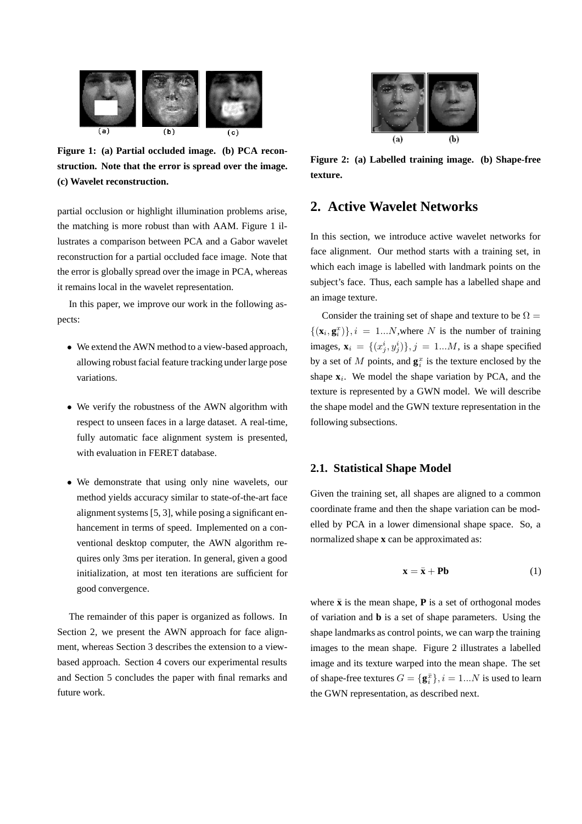

**Figure 1: (a) Partial occluded image. (b) PCA reconstruction. Note that the error is spread over the image. (c) Wavelet reconstruction.**

partial occlusion or highlight illumination problems arise, the matching is more robust than with AAM. Figure 1 illustrates a comparison between PCA and a Gabor wavelet reconstruction for a partial occluded face image. Note that the error is globally spread over the image in PCA, whereas it remains local in the wavelet representation.

In this paper, we improve our work in the following aspects:

- We extend the AWN method to a view-based approach, allowing robust facial feature tracking under large pose variations.
- We verify the robustness of the AWN algorithm with respect to unseen faces in a large dataset. A real-time, fully automatic face alignment system is presented, with evaluation in FERET database.
- We demonstrate that using only nine wavelets, our method yields accuracy similar to state-of-the-art face alignment systems [5, 3], while posing a significant enhancement in terms of speed. Implemented on a conventional desktop computer, the AWN algorithm requires only 3ms per iteration. In general, given a good initialization, at most ten iterations are sufficient for good convergence.

The remainder of this paper is organized as follows. In Section 2, we present the AWN approach for face alignment, whereas Section 3 describes the extension to a viewbased approach. Section 4 covers our experimental results and Section 5 concludes the paper with final remarks and future work.



**Figure 2: (a) Labelled training image. (b) Shape-free texture.**

# **2. Active Wavelet Networks**

In this section, we introduce active wavelet networks for face alignment. Our method starts with a training set, in which each image is labelled with landmark points on the subject's face. Thus, each sample has a labelled shape and an image texture.

Consider the training set of shape and texture to be  $\Omega =$  $\{(\mathbf{x}_i, \mathbf{g}_i^x)\}, i = 1...N$ , where N is the number of training images,  $\mathbf{x}_i = \{(x_j^i, y_j^i)\}, j = 1...M$ , is a shape specified by a set of M points, and  $\mathbf{g}_i^x$  is the texture enclosed by the shape  $\mathbf{x}_i$ . We model the shape variation by PCA, and the texture is represented by a GWN model. We will describe the shape model and the GWN texture representation in the following subsections.

### **2.1. Statistical Shape Model**

Given the training set, all shapes are aligned to a common coordinate frame and then the shape variation can be modelled by PCA in a lower dimensional shape space. So, a normalized shape **x** can be approximated as:

$$
\mathbf{x} = \bar{\mathbf{x}} + \mathbf{Pb} \tag{1}
$$

where  $\bar{x}$  is the mean shape, **P** is a set of orthogonal modes of variation and **b** is a set of shape parameters. Using the shape landmarks as control points, we can warp the training images to the mean shape. Figure 2 illustrates a labelled image and its texture warped into the mean shape. The set of shape-free textures  $G = {\mathbf{g}^{\bar{x}}_i}, i = 1...N$  is used to learn the GWN representation, as described next.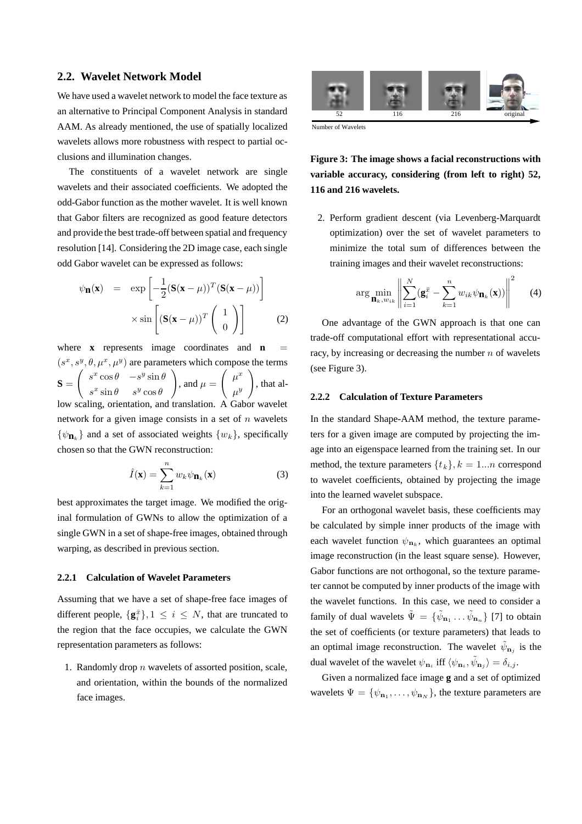#### **2.2. Wavelet Network Model**

We have used a wavelet network to model the face texture as an alternative to Principal Component Analysis in standard AAM. As already mentioned, the use of spatially localized wavelets allows more robustness with respect to partial occlusions and illumination changes.

The constituents of a wavelet network are single wavelets and their associated coefficients. We adopted the odd-Gabor function as the mother wavelet. It is well known that Gabor filters are recognized as good feature detectors and provide the best trade-off between spatial and frequency resolution [14]. Considering the 2D image case, each single odd Gabor wavelet can be expressed as follows:

$$
\psi_{\mathbf{n}}(\mathbf{x}) = \exp\left[-\frac{1}{2}(\mathbf{S}(\mathbf{x}-\mu))^T(\mathbf{S}(\mathbf{x}-\mu))\right] \times \sin\left[\left(\mathbf{S}(\mathbf{x}-\mu))^T\begin{pmatrix}1\\0\end{pmatrix}\right]
$$
(2)

where  $\bf{x}$  represents image coordinates and  $\bf{n}$  $(s^x, s^y, \theta, \mu^x, \mu^y)$  are parameters which compose the terms **S** =  $\begin{pmatrix} s^x \cos \theta & -s^y \sin \theta \\ s^x \cos \theta & s^y \end{pmatrix}$  $s^x \sin \theta$   $s^y \cos \theta$ <br>ing orientation are  $\setminus$ , and  $\mu =$  $\left( \begin{array}{c} \mu^x \\ y \end{array} \right)$  $\mu^{y}$ <br> $\mathbf{r}$ <sup>2</sup>  $\setminus$ , that allow scaling, orientation, and translation. A Gabor wavelet network for a given image consists in a set of  $n$  wavelets  $\{\psi_{n_k}\}\$  and a set of associated weights  $\{w_k\}\$ , specifically chosen so that the GWN reconstruction:

$$
\hat{I}(\mathbf{x}) = \sum_{k=1}^{n} w_k \psi_{\mathbf{n}_k}(\mathbf{x})
$$
\n(3)

best approximates the target image. We modified the original formulation of GWNs to allow the optimization of a single GWN in a set of shape-free images, obtained through warping, as described in previous section.

#### **2.2.1 Calculation of Wavelet Parameters**

Assuming that we have a set of shape-free face images of different people,  $\{g_i^{\bar{x}}\}, 1 \leq i \leq N$ , that are truncated to the region that the face occupies, we calculate the GWN representation parameters as follows:

1. Randomly drop  $n$  wavelets of assorted position, scale, and orientation, within the bounds of the normalized face images.



Number of Wavelets

## **Figure 3: The image shows a facial reconstructions with variable accuracy, considering (from left to right) 52, 116 and 216 wavelets.**

2. Perform gradient descent (via Levenberg-Marquardt optimization) over the set of wavelet parameters to minimize the total sum of differences between the training images and their wavelet reconstructions:

$$
\arg\min_{\mathbf{n}_k, w_{ik}} \left\| \sum_{i=1}^N (\mathbf{g}_i^{\bar{x}} - \sum_{k=1}^n w_{ik} \psi_{\mathbf{n}_k}(\mathbf{x})) \right\|^2 \tag{4}
$$

One advantage of the GWN approach is that one can trade-off computational effort with representational accuracy, by increasing or decreasing the number  $n$  of wavelets (see Figure 3).

#### **2.2.2 Calculation of Texture Parameters**

In the standard Shape-AAM method, the texture parameters for a given image are computed by projecting the image into an eigenspace learned from the training set. In our method, the texture parameters  $\{t_k\}, k = 1...n$  correspond to wavelet coefficients, obtained by projecting the image into the learned wavelet subspace.

For an orthogonal wavelet basis, these coefficients may be calculated by simple inner products of the image with each wavelet function  $\psi_{n_k}$ , which guarantees an optimal image reconstruction (in the least square sense). However, Gabor functions are not orthogonal, so the texture parameter cannot be computed by inner products of the image with the wavelet functions. In this case, we need to consider a family of dual wavelets  $\tilde{\Psi} = {\tilde{\psi}_{n_1} \dots \tilde{\psi}_{n_n}}$  [7] to obtain the set of coefficients (or texture parameters) that leads to an optimal image reconstruction. The wavelet  $\tilde{\psi}_{n_i}$  is the dual wavelet of the wavelet  $\psi_{n_i}$  iff  $\langle \psi_{n_i}, \tilde{\psi}_{n_j} \rangle = \delta_{i,j}$ .

Given a normalized face image **g** and a set of optimized wavelets  $\Psi = {\psi_{\mathbf{n}_1}, \dots, \psi_{\mathbf{n}_N}}$ , the texture parameters are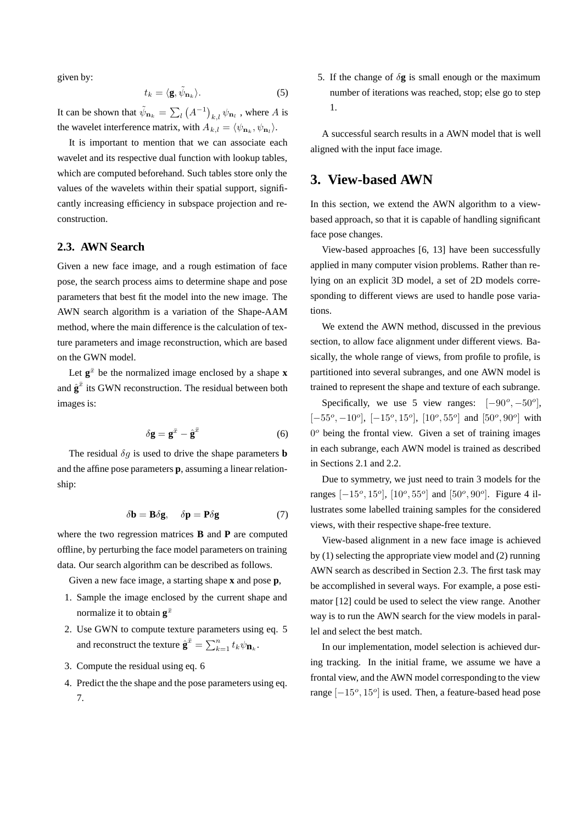given by:

$$
t_k = \langle \mathbf{g}, \tilde{\psi}_{\mathbf{n}_k} \rangle. \tag{5}
$$

It can be shown that  $\tilde{\psi}_{n_k} = \sum_l (A^{-1})_{k,l} \psi_{n_l}$ , where A is the wavelet interference matrix, with  $A_{k,l} = \langle \psi_{n_k}, \psi_{n_l} \rangle$ .

It is important to mention that we can associate each wavelet and its respective dual function with lookup tables, which are computed beforehand. Such tables store only the values of the wavelets within their spatial support, significantly increasing efficiency in subspace projection and reconstruction.

### **2.3. AWN Search**

Given a new face image, and a rough estimation of face pose, the search process aims to determine shape and pose parameters that best fit the model into the new image. The AWN search algorithm is a variation of the Shape-AAM method, where the main difference is the calculation of texture parameters and image reconstruction, which are based on the GWN model.

Let  $g^{\bar{x}}$  be the normalized image enclosed by a shape **x** and  $\hat{\mathbf{g}}^{\bar{x}}$  its GWN reconstruction. The residual between both images is:

$$
\delta \mathbf{g} = \mathbf{g}^{\bar{x}} - \hat{\mathbf{g}}^{\bar{x}} \tag{6}
$$

The residual  $\delta g$  is used to drive the shape parameters **b** and the affine pose parameters **p**, assuming a linear relationship:

$$
\delta \mathbf{b} = \mathbf{B} \delta \mathbf{g}, \quad \delta \mathbf{p} = \mathbf{P} \delta \mathbf{g} \tag{7}
$$

where the two regression matrices **B** and **P** are computed offline, by perturbing the face model parameters on training data. Our search algorithm can be described as follows.

Given a new face image, a starting shape **x** and pose **p**,

- 1. Sample the image enclosed by the current shape and normalize it to obtain  $g^{\bar{x}}$
- 2. Use GWN to compute texture parameters using eq. 5 and reconstruct the texture  $\hat{\mathbf{g}}^{\bar{x}} = \sum_{k=1}^{n} t_k \psi_{\mathbf{n}_k}$ .
- 3. Compute the residual using eq. 6
- 4. Predict the the shape and the pose parameters using eq. 7.

5. If the change of  $\delta$ **g** is small enough or the maximum number of iterations was reached, stop; else go to step 1.

A successful search results in a AWN model that is well aligned with the input face image.

# **3. View-based AWN**

In this section, we extend the AWN algorithm to a viewbased approach, so that it is capable of handling significant face pose changes.

View-based approaches [6, 13] have been successfully applied in many computer vision problems. Rather than relying on an explicit 3D model, a set of 2D models corresponding to different views are used to handle pose variations.

We extend the AWN method, discussed in the previous section, to allow face alignment under different views. Basically, the whole range of views, from profile to profile, is partitioned into several subranges, and one AWN model is trained to represent the shape and texture of each subrange.

Specifically, we use 5 view ranges:  $[-90^\circ, -50^\circ]$ , [−55*<sup>o</sup>*, <sup>−</sup>10*<sup>o</sup>*], [−15*<sup>o</sup>*, 15*<sup>o</sup>*], [10*<sup>o</sup>*, 55*<sup>o</sup>*] and [50*<sup>o</sup>*, 90*<sup>o</sup>*] with <sup>0</sup>*<sup>o</sup>* being the frontal view. Given a set of training images in each subrange, each AWN model is trained as described in Sections 2.1 and 2.2.

Due to symmetry, we just need to train 3 models for the ranges [−15*<sup>o</sup>*, 15*<sup>o</sup>*], [10*<sup>o</sup>*, 55*<sup>o</sup>*] and [50*<sup>o</sup>*, 90*<sup>o</sup>*]. Figure 4 illustrates some labelled training samples for the considered views, with their respective shape-free texture.

View-based alignment in a new face image is achieved by (1) selecting the appropriate view model and (2) running AWN search as described in Section 2.3. The first task may be accomplished in several ways. For example, a pose estimator [12] could be used to select the view range. Another way is to run the AWN search for the view models in parallel and select the best match.

In our implementation, model selection is achieved during tracking. In the initial frame, we assume we have a frontal view, and the AWN model corresponding to the view range [−15*<sup>o</sup>*, 15*<sup>o</sup>*] is used. Then, a feature-based head pose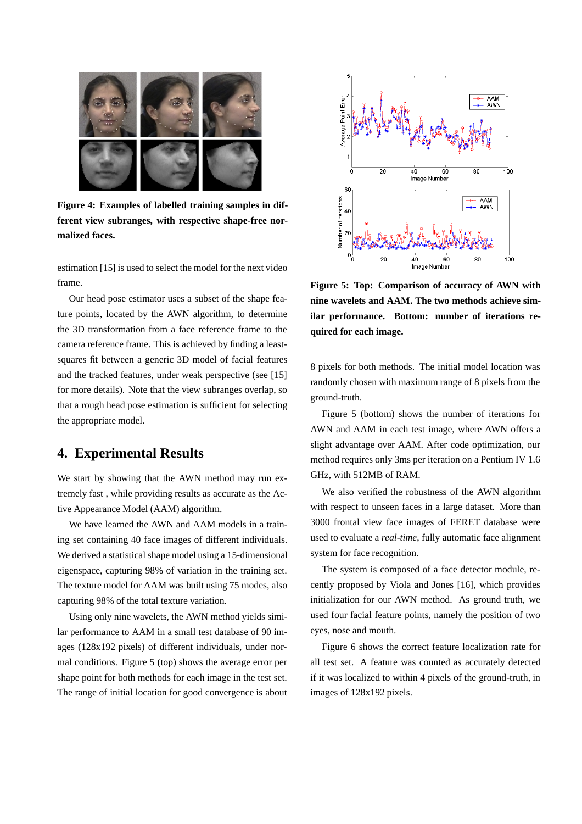

**Figure 4: Examples of labelled training samples in different view subranges, with respective shape-free normalized faces.**

estimation [15] is used to select the model for the next video frame.

Our head pose estimator uses a subset of the shape feature points, located by the AWN algorithm, to determine the 3D transformation from a face reference frame to the camera reference frame. This is achieved by finding a leastsquares fit between a generic 3D model of facial features and the tracked features, under weak perspective (see [15] for more details). Note that the view subranges overlap, so that a rough head pose estimation is sufficient for selecting the appropriate model.

### **4. Experimental Results**

We start by showing that the AWN method may run extremely fast , while providing results as accurate as the Active Appearance Model (AAM) algorithm.

We have learned the AWN and AAM models in a training set containing 40 face images of different individuals. We derived a statistical shape model using a 15-dimensional eigenspace, capturing 98% of variation in the training set. The texture model for AAM was built using 75 modes, also capturing 98% of the total texture variation.

Using only nine wavelets, the AWN method yields similar performance to AAM in a small test database of 90 images (128x192 pixels) of different individuals, under normal conditions. Figure 5 (top) shows the average error per shape point for both methods for each image in the test set. The range of initial location for good convergence is about



**Figure 5: Top: Comparison of accuracy of AWN with nine wavelets and AAM. The two methods achieve similar performance. Bottom: number of iterations required for each image.**

8 pixels for both methods. The initial model location was randomly chosen with maximum range of 8 pixels from the ground-truth.

Figure 5 (bottom) shows the number of iterations for AWN and AAM in each test image, where AWN offers a slight advantage over AAM. After code optimization, our method requires only 3ms per iteration on a Pentium IV 1.6 GHz, with 512MB of RAM.

We also verified the robustness of the AWN algorithm with respect to unseen faces in a large dataset. More than 3000 frontal view face images of FERET database were used to evaluate a *real-time*, fully automatic face alignment system for face recognition.

The system is composed of a face detector module, recently proposed by Viola and Jones [16], which provides initialization for our AWN method. As ground truth, we used four facial feature points, namely the position of two eyes, nose and mouth.

Figure 6 shows the correct feature localization rate for all test set. A feature was counted as accurately detected if it was localized to within 4 pixels of the ground-truth, in images of 128x192 pixels.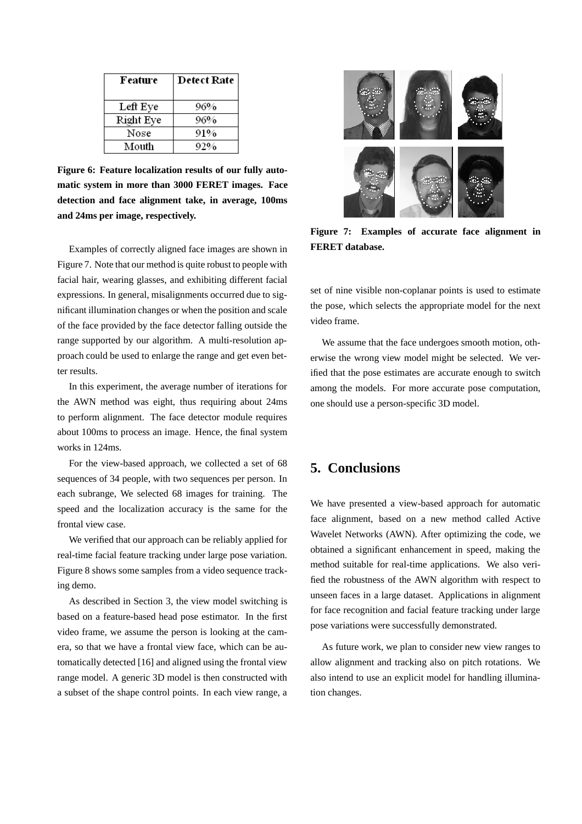| Feature   | <b>Detect Rate</b> |
|-----------|--------------------|
| Left Eye  | 96%                |
| Right Eye | 96%                |
| Nose      | 91%                |
| Mouth     | 92%                |

**Figure 6: Feature localization results of our fully automatic system in more than 3000 FERET images. Face detection and face alignment take, in average, 100ms and 24ms per image, respectively.**

Examples of correctly aligned face images are shown in Figure 7. Note that our method is quite robust to people with facial hair, wearing glasses, and exhibiting different facial expressions. In general, misalignments occurred due to significant illumination changes or when the position and scale of the face provided by the face detector falling outside the range supported by our algorithm. A multi-resolution approach could be used to enlarge the range and get even better results.

In this experiment, the average number of iterations for the AWN method was eight, thus requiring about 24ms to perform alignment. The face detector module requires about 100ms to process an image. Hence, the final system works in 124ms.

For the view-based approach, we collected a set of 68 sequences of 34 people, with two sequences per person. In each subrange, We selected 68 images for training. The speed and the localization accuracy is the same for the frontal view case.

We verified that our approach can be reliably applied for real-time facial feature tracking under large pose variation. Figure 8 shows some samples from a video sequence tracking demo.

As described in Section 3, the view model switching is based on a feature-based head pose estimator. In the first video frame, we assume the person is looking at the camera, so that we have a frontal view face, which can be automatically detected [16] and aligned using the frontal view range model. A generic 3D model is then constructed with a subset of the shape control points. In each view range, a



**Figure 7: Examples of accurate face alignment in FERET database.**

set of nine visible non-coplanar points is used to estimate the pose, which selects the appropriate model for the next video frame.

We assume that the face undergoes smooth motion, otherwise the wrong view model might be selected. We verified that the pose estimates are accurate enough to switch among the models. For more accurate pose computation, one should use a person-specific 3D model.

# **5. Conclusions**

We have presented a view-based approach for automatic face alignment, based on a new method called Active Wavelet Networks (AWN). After optimizing the code, we obtained a significant enhancement in speed, making the method suitable for real-time applications. We also verified the robustness of the AWN algorithm with respect to unseen faces in a large dataset. Applications in alignment for face recognition and facial feature tracking under large pose variations were successfully demonstrated.

As future work, we plan to consider new view ranges to allow alignment and tracking also on pitch rotations. We also intend to use an explicit model for handling illumination changes.